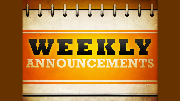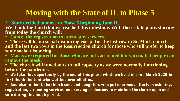#### **Moving with the State of IL to Phase 5**

**IL State decided to move to Phase 5 beginning June 11.** We thank the Lord that we reached this milestone. With these state plans starting **from today the church will:**

- **Cancel the registration to attend any services.**
- **There will be no social distancing except for the last row in St. Mark church and the last two rows in the Resurrection church for those who still prefer to keep some social distancing.**
- **Masks are required for those who are not vaccinated but vaccinated people can remove the mask.**
- **The church will function with full capacity as we were normally functioning before the pandemic.**
- **We take this opportunity by the end of this phase which we lived in since March 2020 to first thank the Lord who watched over all of us.**

• **And also to thank the church sons and daughters who put enormous efforts in ushering, registration, streaming services, and serving as deacons to maintain the church open and safe during this tough period.**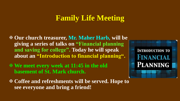#### **Family Life Meeting**

 **Our church treasurer, Mr. Maher Harb, will be giving a series of talks on "Financial planning and saving for college". Today he will speak about an "Introduction to financial planning".**

 **We meet every week at 11:45 in the old basement of St. Mark church.** 

 **Coffee and refreshments will be served. Hope to see everyone and bring a friend!**

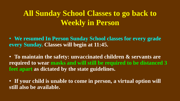# **All Sunday School Classes to go back to Weekly in Person**

• **We resumed In Person Sunday School classes for every grade every Sunday. Classes will begin at 11:45.** 

• **To maintain the safety: unvaccinated children & servants are required to wear masks and will still be required to be distanced 3 feet apart as dictated by the state guidelines.** 

• **If your child is unable to come in person, a virtual option will still also be available.**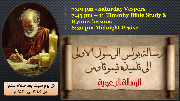† **7:00 pm - Saturday Vespers** † **7:45 pm – 1 st Timothy Bible Study & Hymns lessons** † **8:30 pm Midnight Praise**

سسالتزبولس الرسول الادبلى

الى تلمىلىدتىموثا صس الرسالة الرعوية

كل يوم سبت بعد صلاة عشية من ٧:٤٥ الى ٨:٣٠ م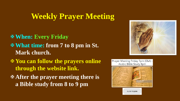## **Weekly Prayer Meeting**

- **When: Every Friday What time: from 7 to 8 pm in St. Mark church.**
- **You can follow the prayers online through the website link.**
- **After the prayer meeting there is a Bible study from 8 to 9 pm**







**CLICK TO JOIN**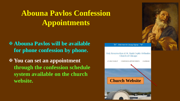# **Abouna Pavlos Confession Appointments**

 **Abouna Pavlos will be available for phone confession by phone.**

 **You can set an appointment through the confession schedule system available on the church website. Church Website**